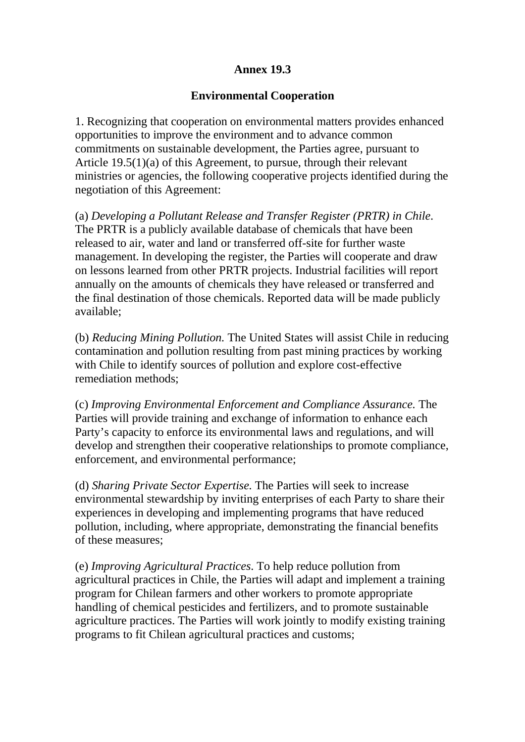## **Annex 19.3**

## **Environmental Cooperation**

1. Recognizing that cooperation on environmental matters provides enhanced opportunities to improve the environment and to advance common commitments on sustainable development, the Parties agree, pursuant to Article 19.5(1)(a) of this Agreement, to pursue, through their relevant ministries or agencies, the following cooperative projects identified during the negotiation of this Agreement:

(a) *Developing a Pollutant Release and Transfer Register (PRTR) in Chile*. The PRTR is a publicly available database of chemicals that have been released to air, water and land or transferred off-site for further waste management. In developing the register, the Parties will cooperate and draw on lessons learned from other PRTR projects. Industrial facilities will report annually on the amounts of chemicals they have released or transferred and the final destination of those chemicals. Reported data will be made publicly available;

(b) *Reducing Mining Pollution.* The United States will assist Chile in reducing contamination and pollution resulting from past mining practices by working with Chile to identify sources of pollution and explore cost-effective remediation methods;

(c) *Improving Environmental Enforcement and Compliance Assurance.* The Parties will provide training and exchange of information to enhance each Party's capacity to enforce its environmental laws and regulations, and will develop and strengthen their cooperative relationships to promote compliance, enforcement, and environmental performance;

(d) *Sharing Private Sector Expertise.* The Parties will seek to increase environmental stewardship by inviting enterprises of each Party to share their experiences in developing and implementing programs that have reduced pollution, including, where appropriate, demonstrating the financial benefits of these measures;

(e) *Improving Agricultural Practices*. To help reduce pollution from agricultural practices in Chile, the Parties will adapt and implement a training program for Chilean farmers and other workers to promote appropriate handling of chemical pesticides and fertilizers, and to promote sustainable agriculture practices. The Parties will work jointly to modify existing training programs to fit Chilean agricultural practices and customs;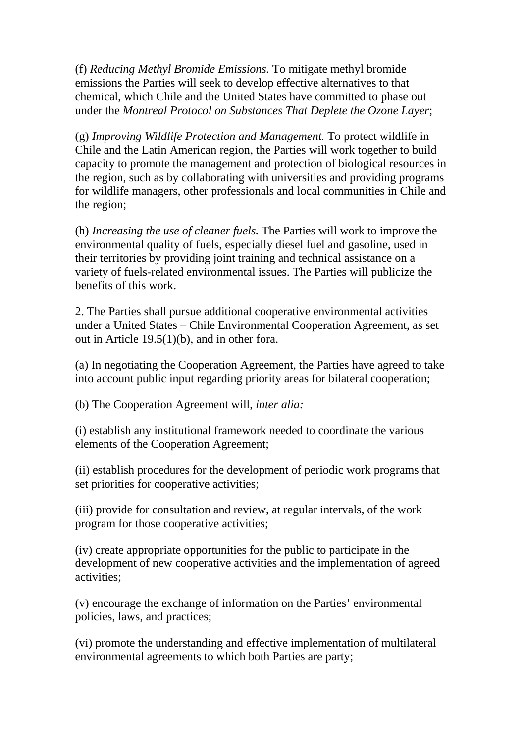(f) *Reducing Methyl Bromide Emissions.* To mitigate methyl bromide emissions the Parties will seek to develop effective alternatives to that chemical, which Chile and the United States have committed to phase out under the *Montreal Protocol on Substances That Deplete the Ozone Layer*;

(g) *Improving Wildlife Protection and Management.* To protect wildlife in Chile and the Latin American region, the Parties will work together to build capacity to promote the management and protection of biological resources in the region, such as by collaborating with universities and providing programs for wildlife managers, other professionals and local communities in Chile and the region;

(h) *Increasing the use of cleaner fuels.* The Parties will work to improve the environmental quality of fuels, especially diesel fuel and gasoline, used in their territories by providing joint training and technical assistance on a variety of fuels-related environmental issues. The Parties will publicize the benefits of this work.

2. The Parties shall pursue additional cooperative environmental activities under a United States – Chile Environmental Cooperation Agreement, as set out in Article 19.5(1)(b), and in other fora.

(a) In negotiating the Cooperation Agreement, the Parties have agreed to take into account public input regarding priority areas for bilateral cooperation;

(b) The Cooperation Agreement will, *inter alia:*

(i) establish any institutional framework needed to coordinate the various elements of the Cooperation Agreement;

(ii) establish procedures for the development of periodic work programs that set priorities for cooperative activities;

(iii) provide for consultation and review, at regular intervals, of the work program for those cooperative activities;

(iv) create appropriate opportunities for the public to participate in the development of new cooperative activities and the implementation of agreed activities;

(v) encourage the exchange of information on the Parties' environmental policies, laws, and practices;

(vi) promote the understanding and effective implementation of multilateral environmental agreements to which both Parties are party;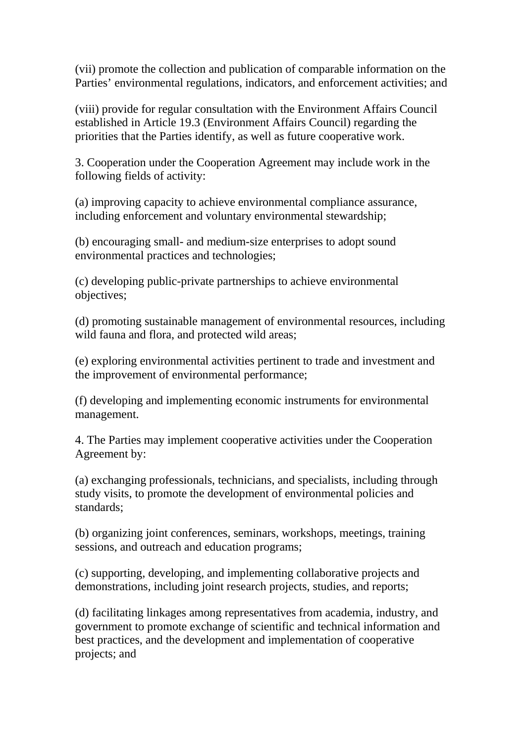(vii) promote the collection and publication of comparable information on the Parties' environmental regulations, indicators, and enforcement activities; and

(viii) provide for regular consultation with the Environment Affairs Council established in Article 19.3 (Environment Affairs Council) regarding the priorities that the Parties identify, as well as future cooperative work.

3. Cooperation under the Cooperation Agreement may include work in the following fields of activity:

(a) improving capacity to achieve environmental compliance assurance, including enforcement and voluntary environmental stewardship;

(b) encouraging small- and medium-size enterprises to adopt sound environmental practices and technologies;

(c) developing public-private partnerships to achieve environmental objectives;

(d) promoting sustainable management of environmental resources, including wild fauna and flora, and protected wild areas;

(e) exploring environmental activities pertinent to trade and investment and the improvement of environmental performance;

(f) developing and implementing economic instruments for environmental management.

4. The Parties may implement cooperative activities under the Cooperation Agreement by:

(a) exchanging professionals, technicians, and specialists, including through study visits, to promote the development of environmental policies and standards;

(b) organizing joint conferences, seminars, workshops, meetings, training sessions, and outreach and education programs;

(c) supporting, developing, and implementing collaborative projects and demonstrations, including joint research projects, studies, and reports;

(d) facilitating linkages among representatives from academia, industry, and government to promote exchange of scientific and technical information and best practices, and the development and implementation of cooperative projects; and